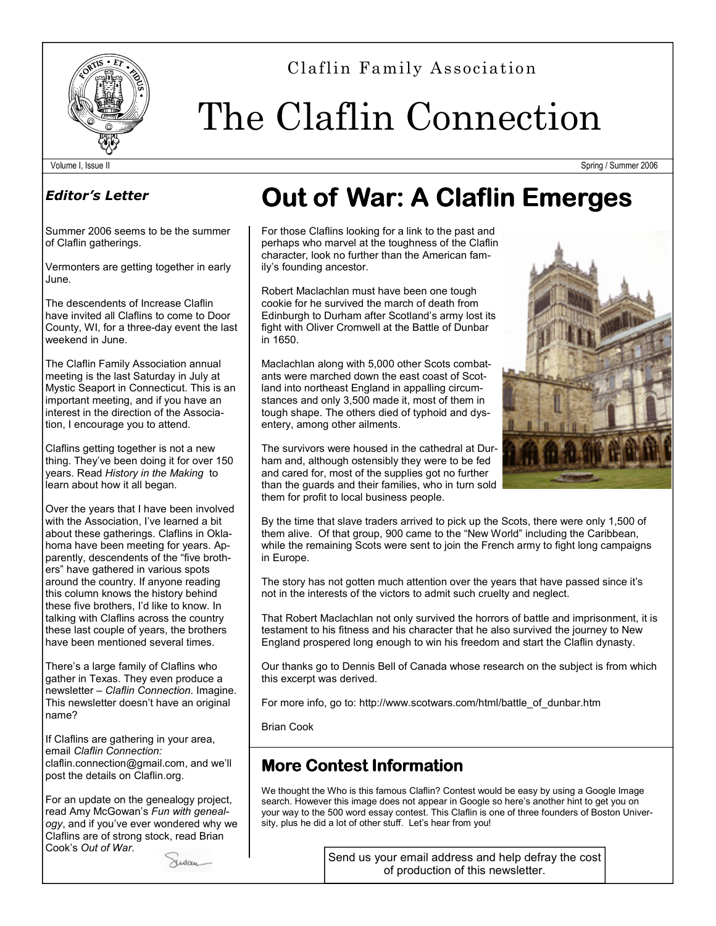

Claflin Family Association

# The Claflin Connection

Volume I, Issue II Spring / Summer 2006

### Editor's Letter

Summer 2006 seems to be the summer of Claflin gatherings.

Vermonters are getting together in early June.

The descendents of Increase Claflin have invited all Claflins to come to Door County, WI, for a three-day event the last weekend in June.

The Claflin Family Association annual meeting is the last Saturday in July at Mystic Seaport in Connecticut. This is an important meeting, and if you have an interest in the direction of the Association, I encourage you to attend.

Claflins getting together is not a new thing. They've been doing it for over 150 years. Read History in the Making to learn about how it all began.

Over the years that I have been involved with the Association, I've learned a bit about these gatherings. Claflins in Oklahoma have been meeting for years. Apparently, descendents of the "five brothers" have gathered in various spots around the country. If anyone reading this column knows the history behind these five brothers, I'd like to know. In talking with Claflins across the country these last couple of years, the brothers have been mentioned several times.

There's a large family of Claflins who gather in Texas. They even produce a newsletter – Claflin Connection. Imagine. This newsletter doesn't have an original name?

If Claflins are gathering in your area, email Claflin Connection: claflin.connection@gmail.com, and we'll post the details on Claflin.org.

For an update on the genealogy project, read Amy McGowan's Fun with genealogy, and if you've ever wondered why we Claflins are of strong stock, read Brian Cook's Out of War.



# **Out of War: A Claflin Emerges**

For those Claflins looking for a link to the past and perhaps who marvel at the toughness of the Claflin character, look no further than the American family's founding ancestor.

Robert Maclachlan must have been one tough cookie for he survived the march of death from Edinburgh to Durham after Scotland's army lost its fight with Oliver Cromwell at the Battle of Dunbar in 1650.

Maclachlan along with 5,000 other Scots combatants were marched down the east coast of Scotland into northeast England in appalling circumstances and only 3,500 made it, most of them in tough shape. The others died of typhoid and dysentery, among other ailments.



The survivors were housed in the cathedral at Durham and, although ostensibly they were to be fed and cared for, most of the supplies got no further than the guards and their families, who in turn sold them for profit to local business people.

By the time that slave traders arrived to pick up the Scots, there were only 1,500 of them alive. Of that group, 900 came to the "New World" including the Caribbean, while the remaining Scots were sent to join the French army to fight long campaigns in Europe.

The story has not gotten much attention over the years that have passed since it's not in the interests of the victors to admit such cruelty and neglect.

That Robert Maclachlan not only survived the horrors of battle and imprisonment, it is testament to his fitness and his character that he also survived the journey to New England prospered long enough to win his freedom and start the Claflin dynasty.

Our thanks go to Dennis Bell of Canada whose research on the subject is from which this excerpt was derived.

For more info, go to: http://www.scotwars.com/html/battle\_of\_dunbar.htm

Brian Cook

## **More Contest Information**

We thought the Who is this famous Claflin? Contest would be easy by using a Google Image search. However this image does not appear in Google so here's another hint to get you on your way to the 500 word essay contest. This Claflin is one of three founders of Boston University, plus he did a lot of other stuff. Let's hear from you!

> Send us your email address and help defray the cost of production of this newsletter.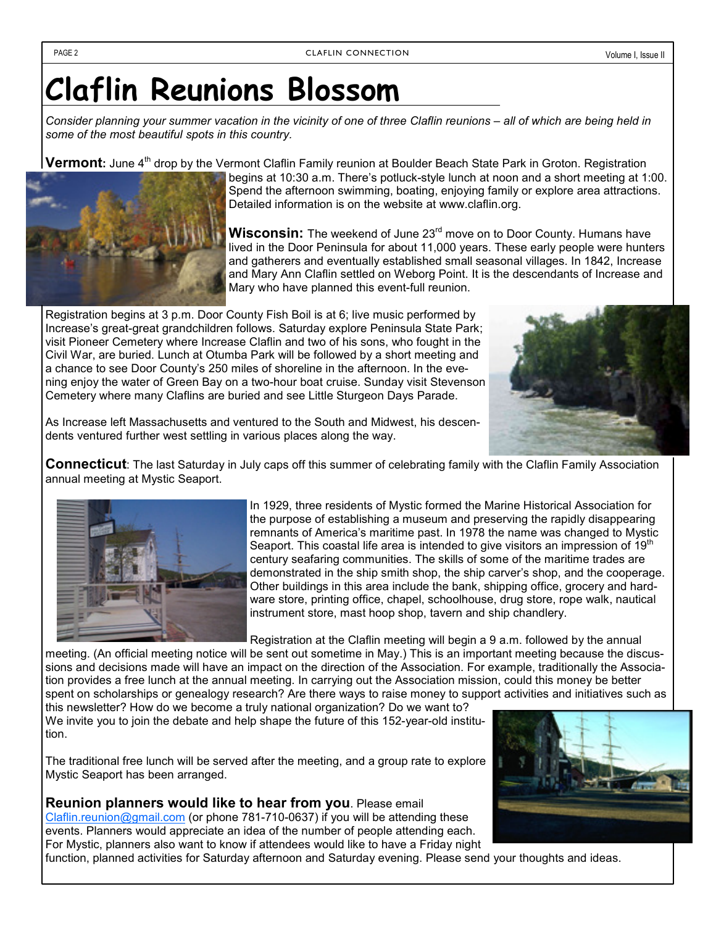# Claflin Reunions Blossom

Consider planning your summer vacation in the vicinity of one of three Claflin reunions – all of which are being held in some of the most beautiful spots in this country.

Vermont: June 4<sup>th</sup> drop by the Vermont Claflin Family reunion at Boulder Beach State Park in Groton. Registration



begins at 10:30 a.m. There's potluck-style lunch at noon and a short meeting at 1:00. Spend the afternoon swimming, boating, enjoying family or explore area attractions. Detailed information is on the website at www.claflin.org.

Wisconsin: The weekend of June 23<sup>rd</sup> move on to Door County. Humans have lived in the Door Peninsula for about 11,000 years. These early people were hunters and gatherers and eventually established small seasonal villages. In 1842, Increase and Mary Ann Claflin settled on Weborg Point. It is the descendants of Increase and Mary who have planned this event-full reunion.

Registration begins at 3 p.m. Door County Fish Boil is at 6; live music performed by Increase's great-great grandchildren follows. Saturday explore Peninsula State Park; visit Pioneer Cemetery where Increase Claflin and two of his sons, who fought in the Civil War, are buried. Lunch at Otumba Park will be followed by a short meeting and a chance to see Door County's 250 miles of shoreline in the afternoon. In the evening enjoy the water of Green Bay on a two-hour boat cruise. Sunday visit Stevenson Cemetery where many Claflins are buried and see Little Sturgeon Days Parade.



As Increase left Massachusetts and ventured to the South and Midwest, his descendents ventured further west settling in various places along the way.

**Connecticut**: The last Saturday in July caps off this summer of celebrating family with the Claflin Family Association annual meeting at Mystic Seaport.



In 1929, three residents of Mystic formed the Marine Historical Association for the purpose of establishing a museum and preserving the rapidly disappearing remnants of America's maritime past. In 1978 the name was changed to Mystic Seaport. This coastal life area is intended to give visitors an impression of  $19<sup>th</sup>$ century seafaring communities. The skills of some of the maritime trades are demonstrated in the ship smith shop, the ship carver's shop, and the cooperage. Other buildings in this area include the bank, shipping office, grocery and hardware store, printing office, chapel, schoolhouse, drug store, rope walk, nautical instrument store, mast hoop shop, tavern and ship chandlery.

Registration at the Claflin meeting will begin a 9 a.m. followed by the annual

meeting. (An official meeting notice will be sent out sometime in May.) This is an important meeting because the discussions and decisions made will have an impact on the direction of the Association. For example, traditionally the Association provides a free lunch at the annual meeting. In carrying out the Association mission, could this money be better spent on scholarships or genealogy research? Are there ways to raise money to support activities and initiatives such as this newsletter? How do we become a truly national organization? Do we want to?

We invite you to join the debate and help shape the future of this 152-year-old institution.

The traditional free lunch will be served after the meeting, and a group rate to explore Mystic Seaport has been arranged.

Reunion planners would like to hear from you. Please email Claflin.reunion@gmail.com (or phone 781-710-0637) if you will be attending these events. Planners would appreciate an idea of the number of people attending each. For Mystic, planners also want to know if attendees would like to have a Friday night



function, planned activities for Saturday afternoon and Saturday evening. Please send your thoughts and ideas.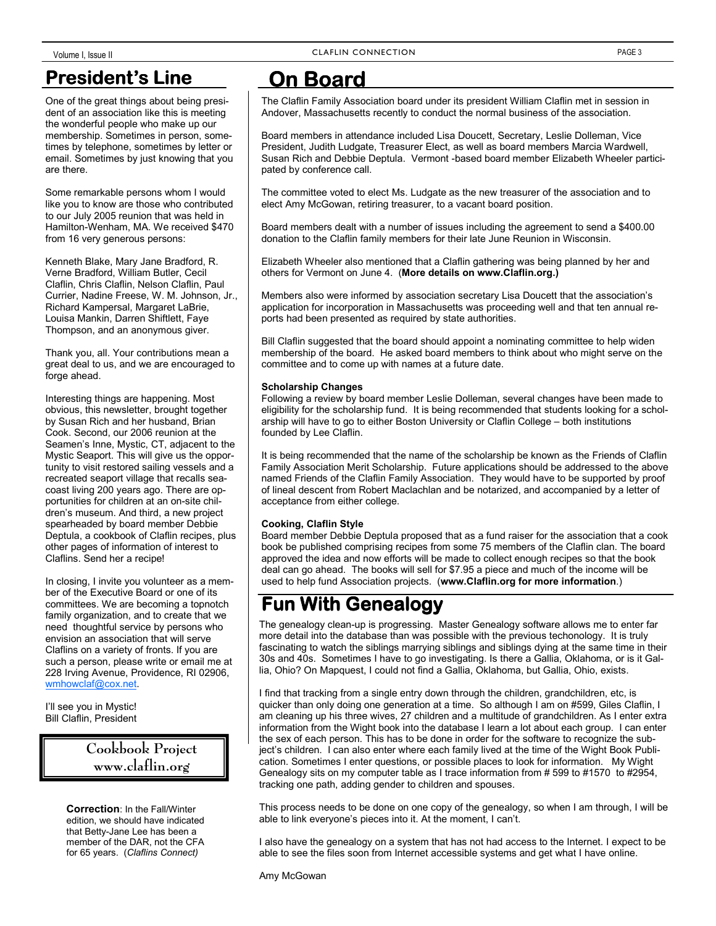## **President's Line**

One of the great things about being president of an association like this is meeting the wonderful people who make up our membership. Sometimes in person, sometimes by telephone, sometimes by letter or email. Sometimes by just knowing that you are there.

Some remarkable persons whom I would like you to know are those who contributed to our July 2005 reunion that was held in Hamilton-Wenham, MA. We received \$470 from 16 very generous persons:

Kenneth Blake, Mary Jane Bradford, R. Verne Bradford, William Butler, Cecil Claflin, Chris Claflin, Nelson Claflin, Paul Currier, Nadine Freese, W. M. Johnson, Jr., Richard Kampersal, Margaret LaBrie, Louisa Mankin, Darren Shiftlett, Faye Thompson, and an anonymous giver.

Thank you, all. Your contributions mean a great deal to us, and we are encouraged to forge ahead.

Interesting things are happening. Most obvious, this newsletter, brought together by Susan Rich and her husband, Brian Cook. Second, our 2006 reunion at the Seamen's Inne, Mystic, CT, adjacent to the Mystic Seaport. This will give us the opportunity to visit restored sailing vessels and a recreated seaport village that recalls seacoast living 200 years ago. There are opportunities for children at an on-site children's museum. And third, a new project spearheaded by board member Debbie Deptula, a cookbook of Claflin recipes, plus other pages of information of interest to Claflins. Send her a recipe!

In closing, I invite you volunteer as a member of the Executive Board or one of its committees. We are becoming a topnotch family organization, and to create that we need thoughtful service by persons who envision an association that will serve Claflins on a variety of fronts. If you are such a person, please write or email me at 228 Irving Avenue, Providence, RI 02906, wmhowclaf@cox.net.

I'll see you in Mystic! Bill Claflin, President

#### Cookbook Project www.claflin.org

Correction: In the Fall/Winter edition, we should have indicated that Betty-Jane Lee has been a member of the DAR, not the CFA for 65 years. (Claflins Connect)

## **On Board**

The Claflin Family Association board under its president William Claflin met in session in Andover, Massachusetts recently to conduct the normal business of the association.

Board members in attendance included Lisa Doucett, Secretary, Leslie Dolleman, Vice President, Judith Ludgate, Treasurer Elect, as well as board members Marcia Wardwell, Susan Rich and Debbie Deptula. Vermont -based board member Elizabeth Wheeler participated by conference call.

The committee voted to elect Ms. Ludgate as the new treasurer of the association and to elect Amy McGowan, retiring treasurer, to a vacant board position.

Board members dealt with a number of issues including the agreement to send a \$400.00 donation to the Claflin family members for their late June Reunion in Wisconsin.

Elizabeth Wheeler also mentioned that a Claflin gathering was being planned by her and others for Vermont on June 4. (More details on www.Claflin.org.)

Members also were informed by association secretary Lisa Doucett that the association's application for incorporation in Massachusetts was proceeding well and that ten annual reports had been presented as required by state authorities.

Bill Claflin suggested that the board should appoint a nominating committee to help widen membership of the board. He asked board members to think about who might serve on the committee and to come up with names at a future date.

#### Scholarship Changes

Following a review by board member Leslie Dolleman, several changes have been made to eligibility for the scholarship fund. It is being recommended that students looking for a scholarship will have to go to either Boston University or Claflin College – both institutions founded by Lee Claflin.

It is being recommended that the name of the scholarship be known as the Friends of Claflin Family Association Merit Scholarship. Future applications should be addressed to the above named Friends of the Claflin Family Association. They would have to be supported by proof of lineal descent from Robert Maclachlan and be notarized, and accompanied by a letter of acceptance from either college.

#### Cooking, Claflin Style

Board member Debbie Deptula proposed that as a fund raiser for the association that a cook book be published comprising recipes from some 75 members of the Claflin clan. The board approved the idea and now efforts will be made to collect enough recipes so that the book deal can go ahead. The books will sell for \$7.95 a piece and much of the income will be used to help fund Association projects. (www.Claflin.org for more information.)

## **Fun With Genealogy**

The genealogy clean-up is progressing. Master Genealogy software allows me to enter far more detail into the database than was possible with the previous techonology. It is truly fascinating to watch the siblings marrying siblings and siblings dying at the same time in their 30s and 40s. Sometimes I have to go investigating. Is there a Gallia, Oklahoma, or is it Gallia, Ohio? On Mapquest, I could not find a Gallia, Oklahoma, but Gallia, Ohio, exists.

I find that tracking from a single entry down through the children, grandchildren, etc, is quicker than only doing one generation at a time. So although I am on #599, Giles Claflin, I am cleaning up his three wives, 27 children and a multitude of grandchildren. As I enter extra information from the Wight book into the database I learn a lot about each group. I can enter the sex of each person. This has to be done in order for the software to recognize the subject's children. I can also enter where each family lived at the time of the Wight Book Publication. Sometimes I enter questions, or possible places to look for information. My Wight Genealogy sits on my computer table as I trace information from # 599 to #1570 to #2954, tracking one path, adding gender to children and spouses.

This process needs to be done on one copy of the genealogy, so when I am through, I will be able to link everyone's pieces into it. At the moment, I can't.

I also have the genealogy on a system that has not had access to the Internet. I expect to be able to see the files soon from Internet accessible systems and get what I have online.

Amy McGowan